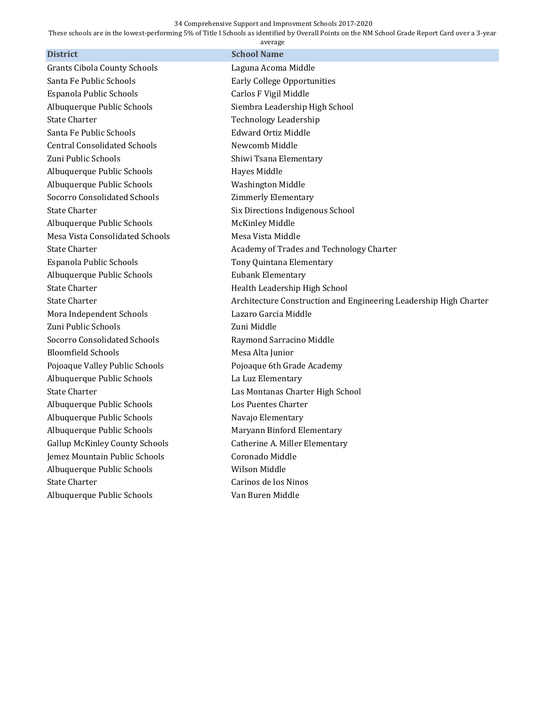## 34 Comprehensive Support and Improvment Schools 2017-2020

These schools are in the lowest-performing 5% of Title I Schools as identified by Overall Points on the NM School Grade Report Card over a 3-year

| average                               |                                                                   |
|---------------------------------------|-------------------------------------------------------------------|
| <b>District</b>                       | <b>School Name</b>                                                |
| <b>Grants Cibola County Schools</b>   | Laguna Acoma Middle                                               |
| Santa Fe Public Schools               | <b>Early College Opportunities</b>                                |
| Espanola Public Schools               | Carlos F Vigil Middle                                             |
| Albuquerque Public Schools            | Siembra Leadership High School                                    |
| <b>State Charter</b>                  | <b>Technology Leadership</b>                                      |
| Santa Fe Public Schools               | <b>Edward Ortiz Middle</b>                                        |
| <b>Central Consolidated Schools</b>   | Newcomb Middle                                                    |
| Zuni Public Schools                   | Shiwi Tsana Elementary                                            |
| Albuquerque Public Schools            | Hayes Middle                                                      |
| Albuquerque Public Schools            | <b>Washington Middle</b>                                          |
| Socorro Consolidated Schools          | <b>Zimmerly Elementary</b>                                        |
| <b>State Charter</b>                  | Six Directions Indigenous School                                  |
| Albuquerque Public Schools            | <b>McKinley Middle</b>                                            |
| Mesa Vista Consolidated Schools       | Mesa Vista Middle                                                 |
| <b>State Charter</b>                  | Academy of Trades and Technology Charter                          |
| Espanola Public Schools               | Tony Quintana Elementary                                          |
| Albuquerque Public Schools            | <b>Eubank Elementary</b>                                          |
| <b>State Charter</b>                  | Health Leadership High School                                     |
| <b>State Charter</b>                  | Architecture Construction and Engineering Leadership High Charter |
| Mora Independent Schools              | Lazaro Garcia Middle                                              |
| Zuni Public Schools                   | Zuni Middle                                                       |
| <b>Socorro Consolidated Schools</b>   | Raymond Sarracino Middle                                          |
| <b>Bloomfield Schools</b>             | Mesa Alta Junior                                                  |
| Pojoaque Valley Public Schools        | Pojoaque 6th Grade Academy                                        |
| Albuquerque Public Schools            | La Luz Elementary                                                 |
| <b>State Charter</b>                  | Las Montanas Charter High School                                  |
| Albuquerque Public Schools            | Los Puentes Charter                                               |
| Albuquerque Public Schools            | Navajo Elementary                                                 |
| Albuquerque Public Schools            | Maryann Binford Elementary                                        |
| <b>Gallup McKinley County Schools</b> | Catherine A. Miller Elementary                                    |
| Jemez Mountain Public Schools         | Coronado Middle                                                   |
| Albuquerque Public Schools            | Wilson Middle                                                     |
| <b>State Charter</b>                  | Carinos de los Ninos                                              |
| Albuquerque Public Schools            | Van Buren Middle                                                  |
|                                       |                                                                   |